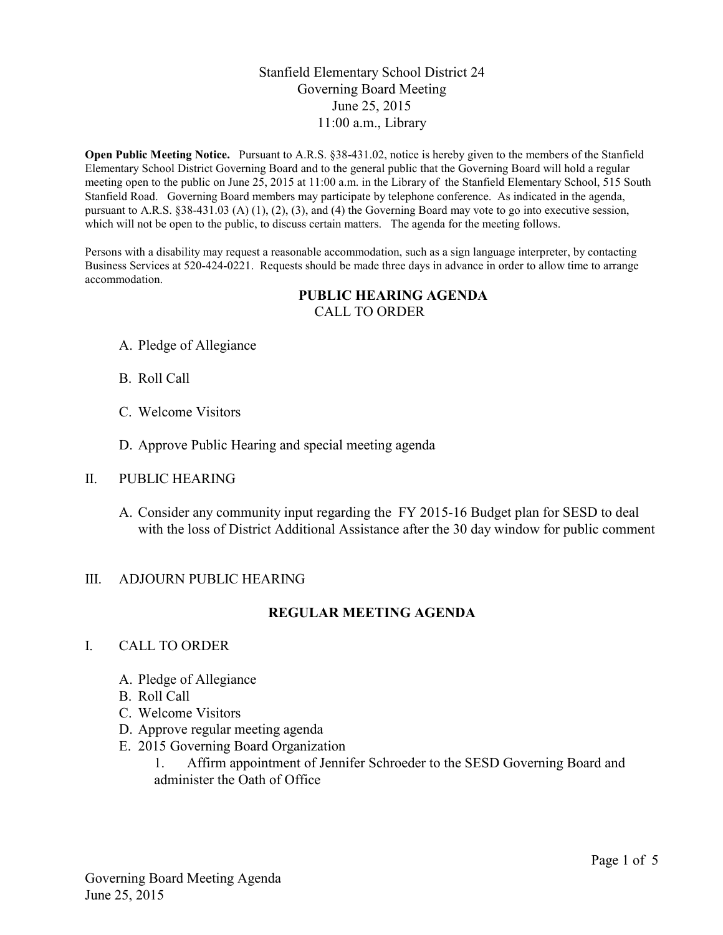# Stanfield Elementary School District 24 Governing Board Meeting June 25, 2015 11:00 a.m., Library

**Open Public Meeting Notice.** Pursuant to A.R.S. §38-431.02, notice is hereby given to the members of the Stanfield Elementary School District Governing Board and to the general public that the Governing Board will hold a regular meeting open to the public on June 25, 2015 at 11:00 a.m. in the Library of the Stanfield Elementary School, 515 South Stanfield Road. Governing Board members may participate by telephone conference. As indicated in the agenda, pursuant to A.R.S. §38-431.03 (A) (1), (2), (3), and (4) the Governing Board may vote to go into executive session, which will not be open to the public, to discuss certain matters. The agenda for the meeting follows.

Persons with a disability may request a reasonable accommodation, such as a sign language interpreter, by contacting Business Services at 520-424-0221. Requests should be made three days in advance in order to allow time to arrange accommodation.

#### **PUBLIC HEARING AGENDA** CALL TO ORDER

- A. Pledge of Allegiance
- B. Roll Call
- C. Welcome Visitors
- D. Approve Public Hearing and special meeting agenda

### II. PUBLIC HEARING

A. Consider any community input regarding the FY 2015-16 Budget plan for SESD to deal with the loss of District Additional Assistance after the 30 day window for public comment

### III. ADJOURN PUBLIC HEARING

## **REGULAR MEETING AGENDA**

### I. CALL TO ORDER

- A. Pledge of Allegiance
- B. Roll Call
- C. Welcome Visitors
- D. Approve regular meeting agenda
- E. 2015 Governing Board Organization

1. Affirm appointment of Jennifer Schroeder to the SESD Governing Board and administer the Oath of Office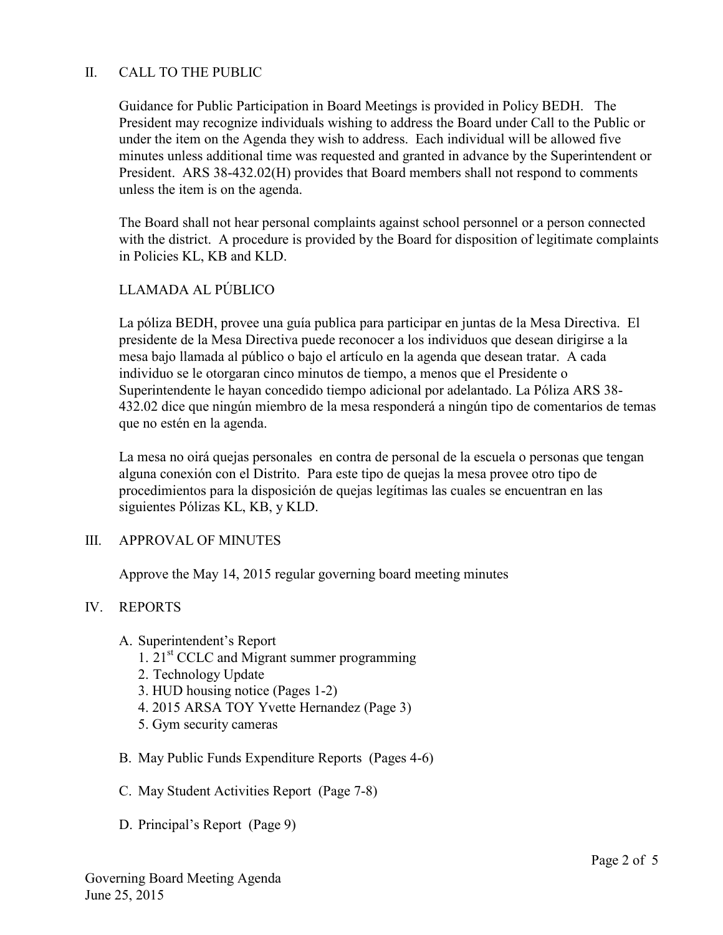# II. CALL TO THE PUBLIC

Guidance for Public Participation in Board Meetings is provided in Policy BEDH. The President may recognize individuals wishing to address the Board under Call to the Public or under the item on the Agenda they wish to address. Each individual will be allowed five minutes unless additional time was requested and granted in advance by the Superintendent or President. ARS 38-432.02(H) provides that Board members shall not respond to comments unless the item is on the agenda.

The Board shall not hear personal complaints against school personnel or a person connected with the district. A procedure is provided by the Board for disposition of legitimate complaints in Policies KL, KB and KLD.

# LLAMADA AL PÚBLICO

La póliza BEDH, provee una guía publica para participar en juntas de la Mesa Directiva. El presidente de la Mesa Directiva puede reconocer a los individuos que desean dirigirse a la mesa bajo llamada al público o bajo el artículo en la agenda que desean tratar. A cada individuo se le otorgaran cinco minutos de tiempo, a menos que el Presidente o Superintendente le hayan concedido tiempo adicional por adelantado. La Póliza ARS 38- 432.02 dice que ningún miembro de la mesa responderá a ningún tipo de comentarios de temas que no estén en la agenda.

La mesa no oirá quejas personales en contra de personal de la escuela o personas que tengan alguna conexión con el Distrito. Para este tipo de quejas la mesa provee otro tipo de procedimientos para la disposición de quejas legítimas las cuales se encuentran en las siguientes Pólizas KL, KB, y KLD.

### III. APPROVAL OF MINUTES

Approve the May 14, 2015 regular governing board meeting minutes

### IV. REPORTS

- A. Superintendent's Report
	- 1.  $21<sup>st</sup> CCLC$  and Migrant summer programming
	- 2. Technology Update
	- 3. HUD housing notice (Pages 1-2)
	- 4. 2015 ARSA TOY Yvette Hernandez (Page 3)
	- 5. Gym security cameras
- B. May Public Funds Expenditure Reports (Pages 4-6)
- C. May Student Activities Report (Page 7-8)
- D. Principal's Report (Page 9)